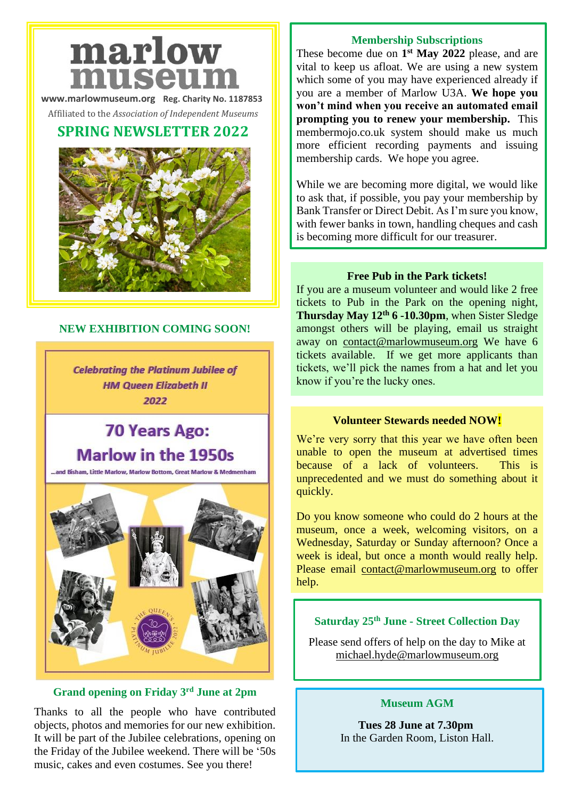# marlow museun

**[www.marlowmuseum.org](http://www.marlowmuseum.org/) Reg. Charity No. 1187853**

Affiliated to the *Association of Independent Museums*

# **SPRING NEWSLETTER 2022**



### **NEW EXHIBITION COMING SOON!**

**Celebrating the Platinum Jubilee of HM Queen Elizabeth II** 2022

# **70 Years Ago: Marlow in the 1950s**

nd Bisham. Little Marlow. Marlow Bottom. Great Marlow & Medmenham



#### **Grand opening on Friday 3rd June at 2pm**

Thanks to all the people who have contributed objects, photos and memories for our new exhibition. It will be part of the Jubilee celebrations, opening on the Friday of the Jubilee weekend. There will be '50s music, cakes and even costumes. See you there!

#### **Membership Subscriptions**

These become due on **1 st May 2022** please, and are vital to keep us afloat. We are using a new system which some of you may have experienced already if you are a member of Marlow U3A. **We hope you won't mind when you receive an automated email prompting you to renew your membership.** This membermojo.co.uk system should make us much more efficient recording payments and issuing membership cards. We hope you agree.

While we are becoming more digital, we would like to ask that, if possible, you pay your membership by Bank Transfer or Direct Debit. As I'm sure you know, with fewer banks in town, handling cheques and cash is becoming more difficult for our treasurer.

#### **Free Pub in the Park tickets!**

If you are a museum volunteer and would like 2 free tickets to Pub in the Park on the opening night, **Thursday May 12th 6 -10.30pm**, when Sister Sledge amongst others will be playing, email us straight away on [contact@marlowmuseum.org](mailto:contact@marlowmuseum.org) We have 6 tickets available. If we get more applicants than tickets, we'll pick the names from a hat and let you know if you're the lucky ones.

#### **Volunteer Stewards needed NOW!**

We're very sorry that this year we have often been unable to open the museum at advertised times because of a lack of volunteers. This is unprecedented and we must do something about it quickly.

Do you know someone who could do 2 hours at the museum, once a week, welcoming visitors, on a Wednesday, Saturday or Sunday afternoon? Once a week is ideal, but once a month would really help. Please email [contact@marlowmuseum.org](mailto:contact@marlowmuseum.org) to offer help.

# **Saturday 25th June - Street Collection Day**

Please send offers of help on the day to Mike at [michael.hyde@marlowmuseum.org](mailto:michael.hyde@marlowmuseum.org)

#### **Museum AGM**

**Tues 28 June at 7.30pm** In the Garden Room, Liston Hall.